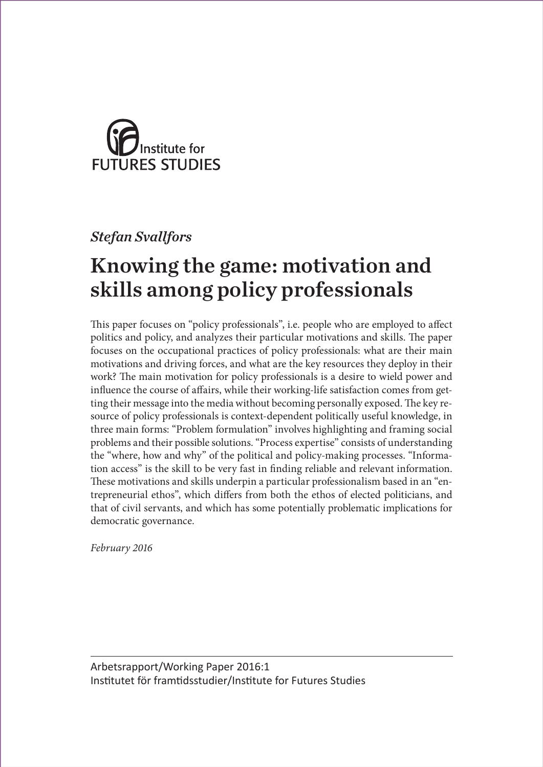

# *Stefan Svallfors*

# Knowing the game: motivation and skills among policy professionals

This paper focuses on "policy professionals", i.e. people who are employed to affect politics and policy, and analyzes their particular motivations and skills. The paper focuses on the occupational practices of policy professionals: what are their main motivations and driving forces, and what are the key resources they deploy in their work? The main motivation for policy professionals is a desire to wield power and influence the course of affairs, while their working-life satisfaction comes from getting their message into the media without becoming personally exposed. The key resource of policy professionals is context-dependent politically useful knowledge, in three main forms: "Problem formulation" involves highlighting and framing social problems and their possible solutions. "Process expertise" consists of understanding the "where, how and why" of the political and policy-making processes. "Information access" is the skill to be very fast in finding reliable and relevant information. These motivations and skills underpin a particular professionalism based in an "entrepreneurial ethos", which differs from both the ethos of elected politicians, and that of civil servants, and which has some potentially problematic implications for democratic governance.

*February 2016*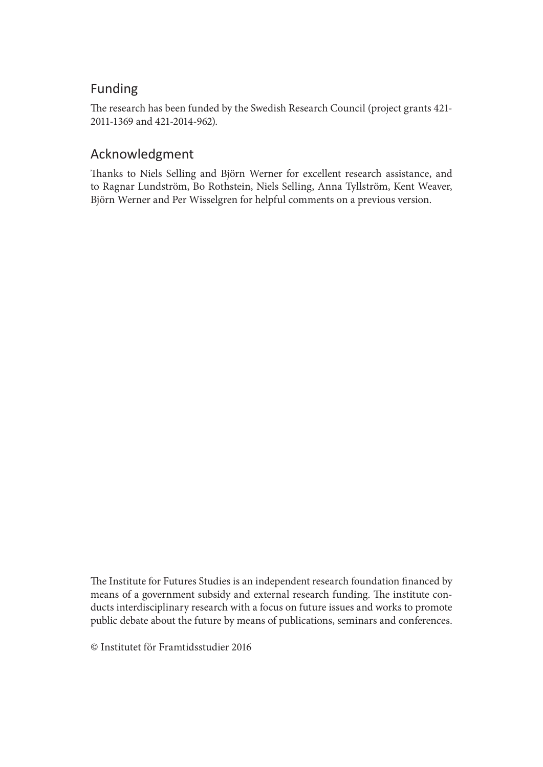### Funding

The research has been funded by the Swedish Research Council (project grants 421- 2011-1369 and 421-2014-962).

### Acknowledgment

Thanks to Niels Selling and Björn Werner for excellent research assistance, and to Ragnar Lundström, Bo Rothstein, Niels Selling, Anna Tyllström, Kent Weaver, Björn Werner and Per Wisselgren for helpful comments on a previous version.

The Institute for Futures Studies is an independent research foundation financed by means of a government subsidy and external research funding. The institute conducts interdisciplinary research with a focus on future issues and works to promote public debate about the future by means of publications, seminars and conferences.

© Institutet för Framtidsstudier 2016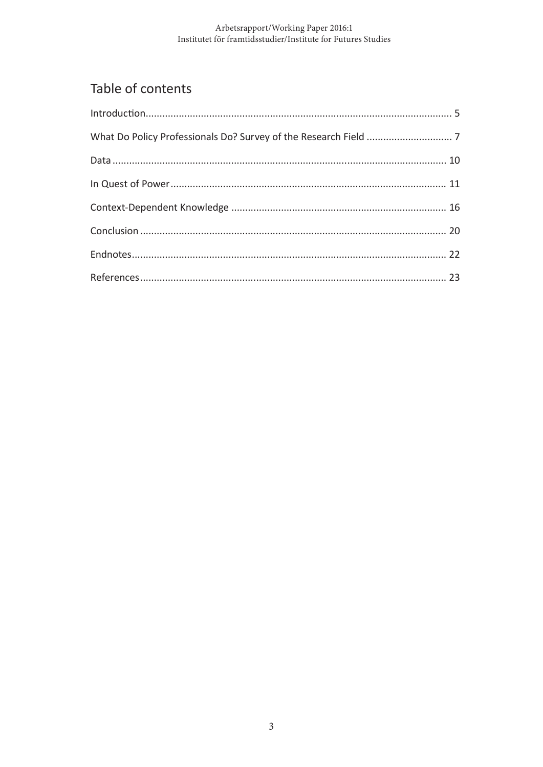# Table of contents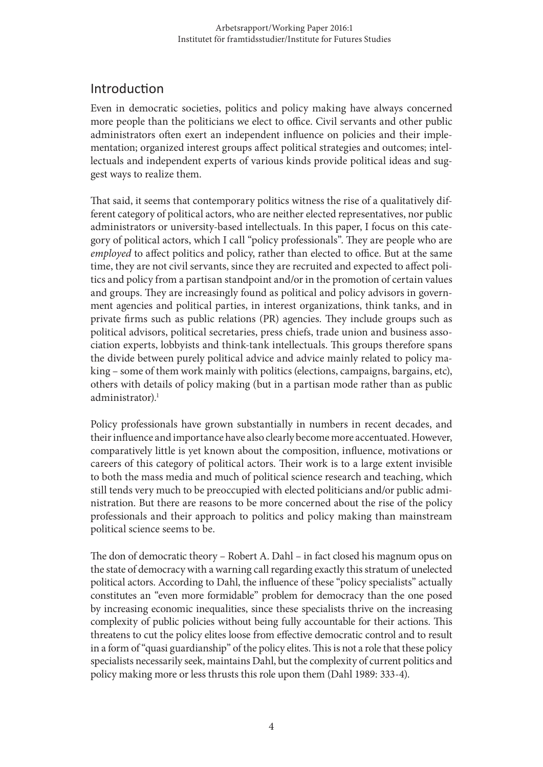# <span id="page-3-0"></span>Introduction

Even in democratic societies, politics and policy making have always concerned more people than the politicians we elect to office. Civil servants and other public administrators often exert an independent influence on policies and their implementation; organized interest groups affect political strategies and outcomes; intellectuals and independent experts of various kinds provide political ideas and suggest ways to realize them.

That said, it seems that contemporary politics witness the rise of a qualitatively different category of political actors, who are neither elected representatives, nor public administrators or university-based intellectuals. In this paper, I focus on this category of political actors, which I call "policy professionals". They are people who are *employed* to affect politics and policy, rather than elected to office. But at the same time, they are not civil servants, since they are recruited and expected to affect politics and policy from a partisan standpoint and/or in the promotion of certain values and groups. They are increasingly found as political and policy advisors in government agencies and political parties, in interest organizations, think tanks, and in private firms such as public relations (PR) agencies. They include groups such as political advisors, political secretaries, press chiefs, trade union and business association experts, lobbyists and think-tank intellectuals. This groups therefore spans the divide between purely political advice and advice mainly related to policy making – some of them work mainly with politics (elections, campaigns, bargains, etc), others with details of policy making (but in a partisan mode rather than as public administrator).<sup>1</sup>

Policy professionals have grown substantially in numbers in recent decades, and their influence and importance have also clearly become more accentuated. However, comparatively little is yet known about the composition, influence, motivations or careers of this category of political actors. Their work is to a large extent invisible to both the mass media and much of political science research and teaching, which still tends very much to be preoccupied with elected politicians and/or public administration. But there are reasons to be more concerned about the rise of the policy professionals and their approach to politics and policy making than mainstream political science seems to be.

The don of democratic theory – Robert A. Dahl – in fact closed his magnum opus on the state of democracy with a warning call regarding exactly this stratum of unelected political actors. According to Dahl, the influence of these "policy specialists" actually constitutes an "even more formidable" problem for democracy than the one posed by increasing economic inequalities, since these specialists thrive on the increasing complexity of public policies without being fully accountable for their actions. This threatens to cut the policy elites loose from effective democratic control and to result in a form of "quasi guardianship" of the policy elites. This is not a role that these policy specialists necessarily seek, maintains Dahl, but the complexity of current politics and policy making more or less thrusts this role upon them (Dahl 1989: 333-4).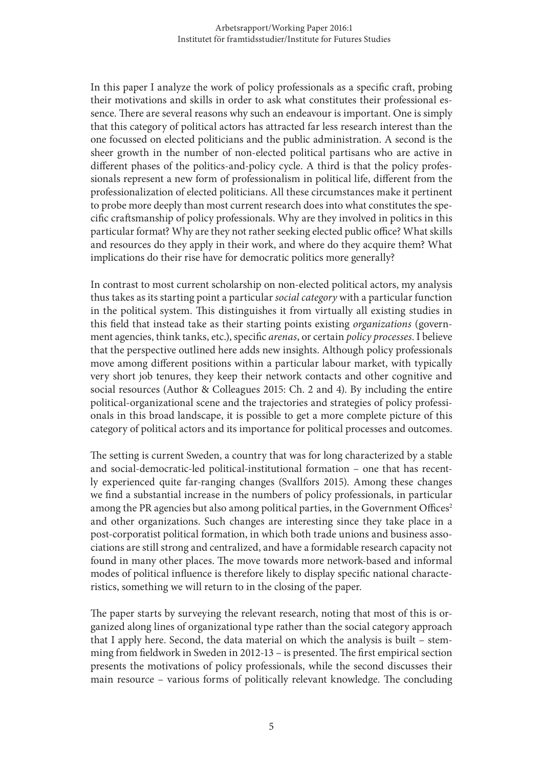In this paper I analyze the work of policy professionals as a specific craft, probing their motivations and skills in order to ask what constitutes their professional essence. There are several reasons why such an endeavour is important. One is simply that this category of political actors has attracted far less research interest than the one focussed on elected politicians and the public administration. A second is the sheer growth in the number of non-elected political partisans who are active in different phases of the politics-and-policy cycle. A third is that the policy professionals represent a new form of professionalism in political life, different from the professionalization of elected politicians. All these circumstances make it pertinent to probe more deeply than most current research does into what constitutes the specific craftsmanship of policy professionals. Why are they involved in politics in this particular format? Why are they not rather seeking elected public office? What skills and resources do they apply in their work, and where do they acquire them? What implications do their rise have for democratic politics more generally?

In contrast to most current scholarship on non-elected political actors, my analysis thus takes as its starting point a particular *social category* with a particular function in the political system. This distinguishes it from virtually all existing studies in this field that instead take as their starting points existing *organizations* (government agencies, think tanks, etc.), specific *arenas*, or certain *policy processes*. I believe that the perspective outlined here adds new insights. Although policy professionals move among different positions within a particular labour market, with typically very short job tenures, they keep their network contacts and other cognitive and social resources (Author & Colleagues 2015: Ch. 2 and 4). By including the entire political-organizational scene and the trajectories and strategies of policy professionals in this broad landscape, it is possible to get a more complete picture of this category of political actors and its importance for political processes and outcomes.

The setting is current Sweden, a country that was for long characterized by a stable and social-democratic-led political-institutional formation – one that has recently experienced quite far-ranging changes (Svallfors 2015). Among these changes we find a substantial increase in the numbers of policy professionals, in particular among the PR agencies but also among political parties, in the Government Offices<sup>2</sup> and other organizations. Such changes are interesting since they take place in a post-corporatist political formation, in which both trade unions and business associations are still strong and centralized, and have a formidable research capacity not found in many other places. The move towards more network-based and informal modes of political influence is therefore likely to display specific national characteristics, something we will return to in the closing of the paper.

The paper starts by surveying the relevant research, noting that most of this is organized along lines of organizational type rather than the social category approach that I apply here. Second, the data material on which the analysis is built – stemming from fieldwork in Sweden in 2012-13 – is presented. The first empirical section presents the motivations of policy professionals, while the second discusses their main resource – various forms of politically relevant knowledge. The concluding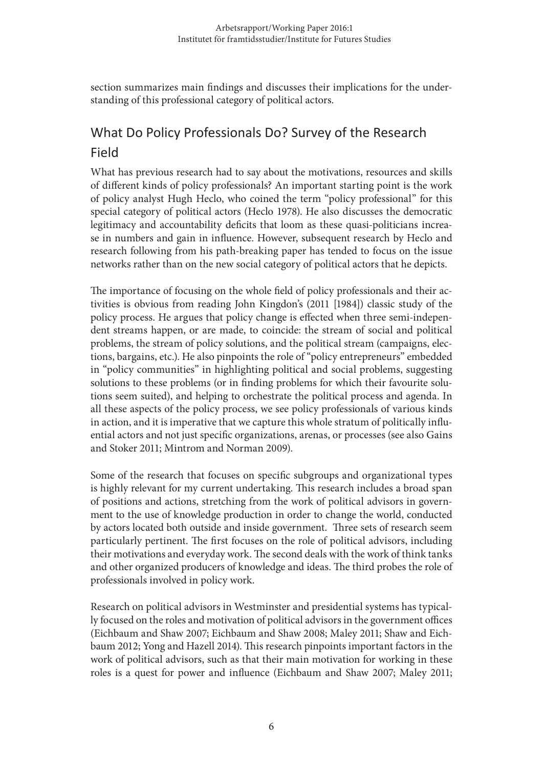<span id="page-5-0"></span>section summarizes main findings and discusses their implications for the understanding of this professional category of political actors.

# What Do Policy Professionals Do? Survey of the Research Field

What has previous research had to say about the motivations, resources and skills of different kinds of policy professionals? An important starting point is the work of policy analyst Hugh Heclo, who coined the term "policy professional" for this special category of political actors (Heclo 1978). He also discusses the democratic legitimacy and accountability deficits that loom as these quasi-politicians increase in numbers and gain in influence. However, subsequent research by Heclo and research following from his path-breaking paper has tended to focus on the issue networks rather than on the new social category of political actors that he depicts.

The importance of focusing on the whole field of policy professionals and their activities is obvious from reading John Kingdon's (2011 [1984]) classic study of the policy process. He argues that policy change is effected when three semi-independent streams happen, or are made, to coincide: the stream of social and political problems, the stream of policy solutions, and the political stream (campaigns, elections, bargains, etc.). He also pinpoints the role of "policy entrepreneurs" embedded in "policy communities" in highlighting political and social problems, suggesting solutions to these problems (or in finding problems for which their favourite solutions seem suited), and helping to orchestrate the political process and agenda. In all these aspects of the policy process, we see policy professionals of various kinds in action, and it is imperative that we capture this whole stratum of politically influential actors and not just specific organizations, arenas, or processes (see also Gains and Stoker 2011; Mintrom and Norman 2009).

Some of the research that focuses on specific subgroups and organizational types is highly relevant for my current undertaking. This research includes a broad span of positions and actions, stretching from the work of political advisors in government to the use of knowledge production in order to change the world, conducted by actors located both outside and inside government. Three sets of research seem particularly pertinent. The first focuses on the role of political advisors, including their motivations and everyday work. The second deals with the work of think tanks and other organized producers of knowledge and ideas. The third probes the role of professionals involved in policy work.

Research on political advisors in Westminster and presidential systems has typically focused on the roles and motivation of political advisors in the government offices (Eichbaum and Shaw 2007; Eichbaum and Shaw 2008; Maley 2011; Shaw and Eichbaum 2012; Yong and Hazell 2014). This research pinpoints important factors in the work of political advisors, such as that their main motivation for working in these roles is a quest for power and influence (Eichbaum and Shaw 2007; Maley 2011;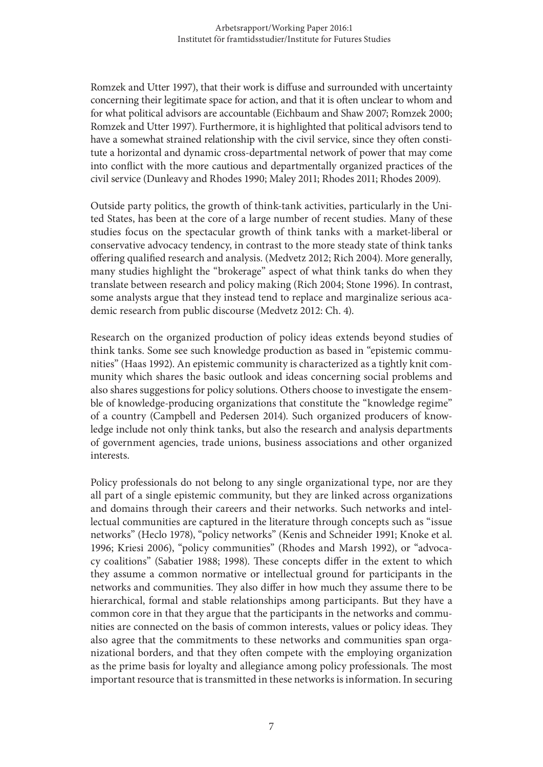Romzek and Utter 1997), that their work is diffuse and surrounded with uncertainty concerning their legitimate space for action, and that it is often unclear to whom and for what political advisors are accountable (Eichbaum and Shaw 2007; Romzek 2000; Romzek and Utter 1997). Furthermore, it is highlighted that political advisors tend to have a somewhat strained relationship with the civil service, since they often constitute a horizontal and dynamic cross-departmental network of power that may come into conflict with the more cautious and departmentally organized practices of the civil service (Dunleavy and Rhodes 1990; Maley 2011; Rhodes 2011; Rhodes 2009).

Outside party politics, the growth of think-tank activities, particularly in the United States, has been at the core of a large number of recent studies. Many of these studies focus on the spectacular growth of think tanks with a market-liberal or conservative advocacy tendency, in contrast to the more steady state of think tanks offering qualified research and analysis. (Medvetz 2012; Rich 2004). More generally, many studies highlight the "brokerage" aspect of what think tanks do when they translate between research and policy making (Rich 2004; Stone 1996). In contrast, some analysts argue that they instead tend to replace and marginalize serious academic research from public discourse (Medvetz 2012: Ch. 4).

Research on the organized production of policy ideas extends beyond studies of think tanks. Some see such knowledge production as based in "epistemic communities" (Haas 1992). An epistemic community is characterized as a tightly knit community which shares the basic outlook and ideas concerning social problems and also shares suggestions for policy solutions. Others choose to investigate the ensemble of knowledge-producing organizations that constitute the "knowledge regime" of a country (Campbell and Pedersen 2014). Such organized producers of knowledge include not only think tanks, but also the research and analysis departments of government agencies, trade unions, business associations and other organized interests.

Policy professionals do not belong to any single organizational type, nor are they all part of a single epistemic community, but they are linked across organizations and domains through their careers and their networks. Such networks and intellectual communities are captured in the literature through concepts such as "issue networks" (Heclo 1978), "policy networks" (Kenis and Schneider 1991; Knoke et al. 1996; Kriesi 2006), "policy communities" (Rhodes and Marsh 1992), or "advocacy coalitions" (Sabatier 1988; 1998). These concepts differ in the extent to which they assume a common normative or intellectual ground for participants in the networks and communities. They also differ in how much they assume there to be hierarchical, formal and stable relationships among participants. But they have a common core in that they argue that the participants in the networks and communities are connected on the basis of common interests, values or policy ideas. They also agree that the commitments to these networks and communities span organizational borders, and that they often compete with the employing organization as the prime basis for loyalty and allegiance among policy professionals. The most important resource that is transmitted in these networks is information. In securing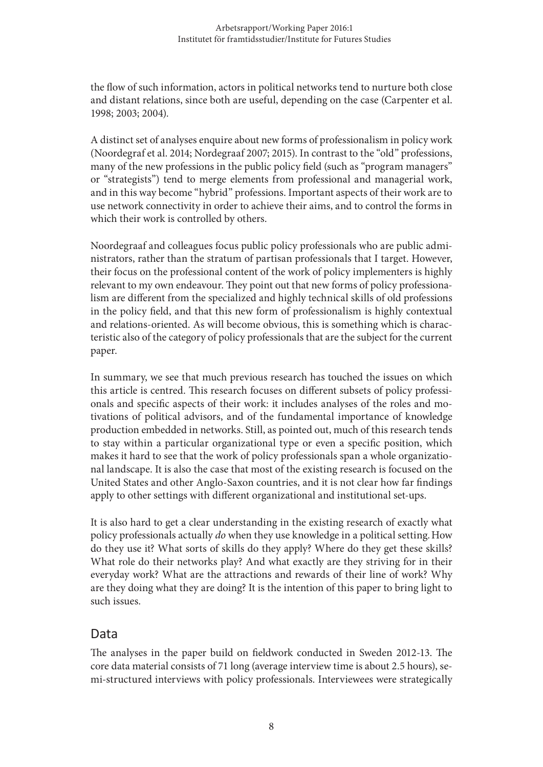<span id="page-7-0"></span>the flow of such information, actors in political networks tend to nurture both close and distant relations, since both are useful, depending on the case (Carpenter et al. 1998; 2003; 2004).

A distinct set of analyses enquire about new forms of professionalism in policy work (Noordegraf et al. 2014; Nordegraaf 2007; 2015). In contrast to the "old" professions, many of the new professions in the public policy field (such as "program managers" or "strategists") tend to merge elements from professional and managerial work, and in this way become "hybrid" professions. Important aspects of their work are to use network connectivity in order to achieve their aims, and to control the forms in which their work is controlled by others.

Noordegraaf and colleagues focus public policy professionals who are public administrators, rather than the stratum of partisan professionals that I target. However, their focus on the professional content of the work of policy implementers is highly relevant to my own endeavour. They point out that new forms of policy professionalism are different from the specialized and highly technical skills of old professions in the policy field, and that this new form of professionalism is highly contextual and relations-oriented. As will become obvious, this is something which is characteristic also of the category of policy professionals that are the subject for the current paper.

In summary, we see that much previous research has touched the issues on which this article is centred. This research focuses on different subsets of policy professionals and specific aspects of their work: it includes analyses of the roles and motivations of political advisors, and of the fundamental importance of knowledge production embedded in networks. Still, as pointed out, much of this research tends to stay within a particular organizational type or even a specific position, which makes it hard to see that the work of policy professionals span a whole organizational landscape. It is also the case that most of the existing research is focused on the United States and other Anglo-Saxon countries, and it is not clear how far findings apply to other settings with different organizational and institutional set-ups.

It is also hard to get a clear understanding in the existing research of exactly what policy professionals actually *do* when they use knowledge in a political setting.How do they use it? What sorts of skills do they apply? Where do they get these skills? What role do their networks play? And what exactly are they striving for in their everyday work? What are the attractions and rewards of their line of work? Why are they doing what they are doing? It is the intention of this paper to bring light to such issues.

### Data

The analyses in the paper build on fieldwork conducted in Sweden 2012-13. The core data material consists of 71 long (average interview time is about 2.5 hours), semi-structured interviews with policy professionals. Interviewees were strategically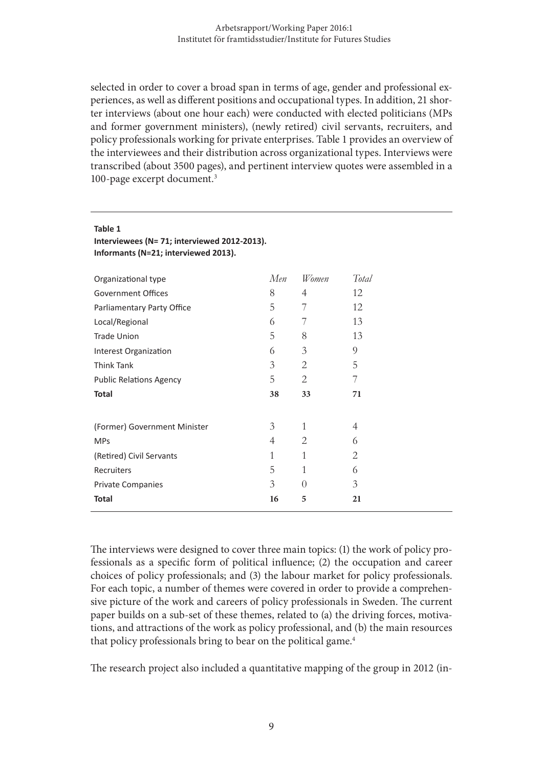selected in order to cover a broad span in terms of age, gender and professional experiences, as well as different positions and occupational types. In addition, 21 shorter interviews (about one hour each) were conducted with elected politicians (MPs and former government ministers), (newly retired) civil servants, recruiters, and policy professionals working for private enterprises. Table 1 provides an overview of the interviewees and their distribution across organizational types. Interviews were transcribed (about 3500 pages), and pertinent interview quotes were assembled in a 100-page excerpt document.3

| Men<br>Organizational type          | Women          | <b>Total</b> |
|-------------------------------------|----------------|--------------|
| 8<br><b>Government Offices</b>      | $\overline{4}$ | 12           |
| 5<br>Parliamentary Party Office     | 7              | 12           |
| Local/Regional<br>6                 | 7              | 13           |
| 5<br><b>Trade Union</b>             | 8              | 13           |
| 6<br>Interest Organization          | 3              | 9            |
| 3<br><b>Think Tank</b>              | 2              | 5            |
| 5<br><b>Public Relations Agency</b> | $\overline{2}$ | 7            |
| <b>Total</b><br>38                  | 33             | 71           |
|                                     |                |              |
| 3<br>(Former) Government Minister   | 1              | 4            |
| $\overline{4}$<br><b>MPs</b>        | $\overline{2}$ | 6            |
| 1<br>(Retired) Civil Servants       | 1              | 2            |
| 5<br>Recruiters                     | 1              | 6            |
| 3<br><b>Private Companies</b>       | $\Omega$       | 3            |
| <b>Total</b><br>16                  | 5              | 21           |

**Table 1** 

**Interviewees (N= 71; interviewed 2012-2013).** 

**Informants (N=21; interviewed 2013).** 

The interviews were designed to cover three main topics: (1) the work of policy professionals as a specific form of political influence; (2) the occupation and career choices of policy professionals; and (3) the labour market for policy professionals. For each topic, a number of themes were covered in order to provide a comprehensive picture of the work and careers of policy professionals in Sweden. The current paper builds on a sub-set of these themes, related to (a) the driving forces, motivations, and attractions of the work as policy professional, and (b) the main resources that policy professionals bring to bear on the political game.<sup>4</sup>

The research project also included a quantitative mapping of the group in 2012 (in-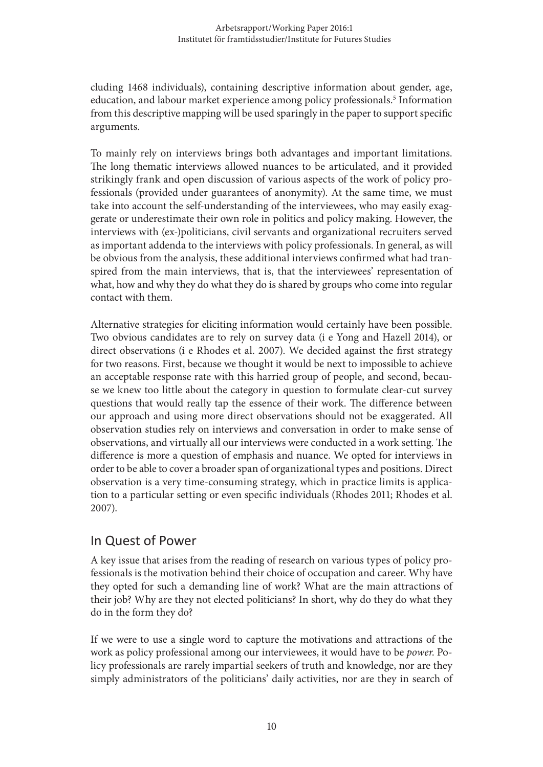<span id="page-9-0"></span>cluding 1468 individuals), containing descriptive information about gender, age, education, and labour market experience among policy professionals.<sup>5</sup> Information from this descriptive mapping will be used sparingly in the paper to support specific arguments.

To mainly rely on interviews brings both advantages and important limitations. The long thematic interviews allowed nuances to be articulated, and it provided strikingly frank and open discussion of various aspects of the work of policy professionals (provided under guarantees of anonymity). At the same time, we must take into account the self-understanding of the interviewees, who may easily exaggerate or underestimate their own role in politics and policy making. However, the interviews with (ex-)politicians, civil servants and organizational recruiters served as important addenda to the interviews with policy professionals. In general, as will be obvious from the analysis, these additional interviews confirmed what had transpired from the main interviews, that is, that the interviewees' representation of what, how and why they do what they do is shared by groups who come into regular contact with them.

Alternative strategies for eliciting information would certainly have been possible. Two obvious candidates are to rely on survey data (i e Yong and Hazell 2014), or direct observations (i e Rhodes et al. 2007). We decided against the first strategy for two reasons. First, because we thought it would be next to impossible to achieve an acceptable response rate with this harried group of people, and second, because we knew too little about the category in question to formulate clear-cut survey questions that would really tap the essence of their work. The difference between our approach and using more direct observations should not be exaggerated. All observation studies rely on interviews and conversation in order to make sense of observations, and virtually all our interviews were conducted in a work setting. The difference is more a question of emphasis and nuance. We opted for interviews in order to be able to cover a broader span of organizational types and positions. Direct observation is a very time-consuming strategy, which in practice limits is application to a particular setting or even specific individuals (Rhodes 2011; Rhodes et al. 2007).

### In Quest of Power

A key issue that arises from the reading of research on various types of policy professionals is the motivation behind their choice of occupation and career. Why have they opted for such a demanding line of work? What are the main attractions of their job? Why are they not elected politicians? In short, why do they do what they do in the form they do?

If we were to use a single word to capture the motivations and attractions of the work as policy professional among our interviewees, it would have to be *power*. Policy professionals are rarely impartial seekers of truth and knowledge, nor are they simply administrators of the politicians' daily activities, nor are they in search of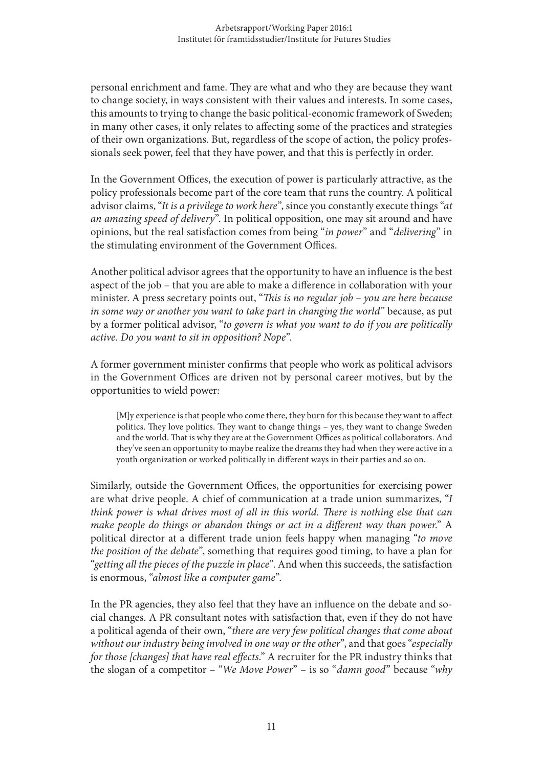personal enrichment and fame. They are what and who they are because they want to change society, in ways consistent with their values and interests. In some cases, this amounts to trying to change the basic political-economic framework of Sweden; in many other cases, it only relates to affecting some of the practices and strategies of their own organizations. But, regardless of the scope of action, the policy professionals seek power, feel that they have power, and that this is perfectly in order.

In the Government Offices, the execution of power is particularly attractive, as the policy professionals become part of the core team that runs the country. A political advisor claims, "*It is a privilege to work here*", since you constantly execute things "*at an amazing speed of delivery*". In political opposition, one may sit around and have opinions, but the real satisfaction comes from being "*in power*" and "*delivering*" in the stimulating environment of the Government Offices.

Another political advisor agrees that the opportunity to have an influence is the best aspect of the job – that you are able to make a difference in collaboration with your minister. A press secretary points out, "*This is no regular job – you are here because in some way or another you want to take part in changing the world*" because, as put by a former political advisor, "*to govern is what you want to do if you are politically active. Do you want to sit in opposition? Nope*".

A former government minister confirms that people who work as political advisors in the Government Offices are driven not by personal career motives, but by the opportunities to wield power:

[M]y experience is that people who come there, they burn for this because they want to affect politics. They love politics. They want to change things – yes, they want to change Sweden and the world. That is why they are at the Government Offices as political collaborators. And they've seen an opportunity to maybe realize the dreams they had when they were active in a youth organization or worked politically in different ways in their parties and so on.

Similarly, outside the Government Offices, the opportunities for exercising power are what drive people. A chief of communication at a trade union summarizes, "*I think power is what drives most of all in this world. There is nothing else that can make people do things or abandon things or act in a different way than power*." A political director at a different trade union feels happy when managing "*to move the position of the debate*", something that requires good timing, to have a plan for "*getting all the pieces of the puzzle in place*". And when this succeeds, the satisfaction is enormous, "*almost like a computer game*".

In the PR agencies, they also feel that they have an influence on the debate and social changes. A PR consultant notes with satisfaction that, even if they do not have a political agenda of their own, "*there are very few political changes that come about without our industry being involved in one way or the other*", and that goes "*especially for those [changes] that have real effects*." A recruiter for the PR industry thinks that the slogan of a competitor – "*We Move Power*" – is so "*damn good*" because "*why*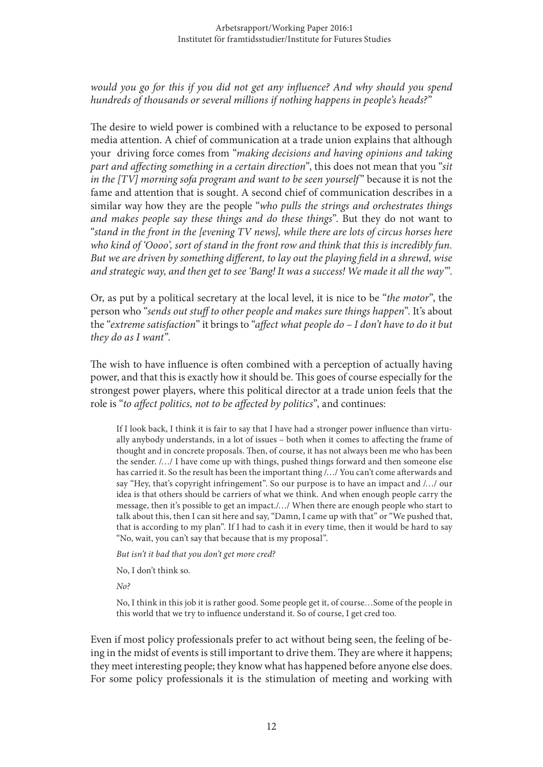#### Arbetsrapport/Working Paper 2016:1 Institutet för framtidsstudier/Institute for Futures Studies

#### *would you go for this if you did not get any influence? And why should you spend hundreds of thousands or several millions if nothing happens in people's heads?*"

The desire to wield power is combined with a reluctance to be exposed to personal media attention. A chief of communication at a trade union explains that although your driving force comes from "*making decisions and having opinions and taking part and affecting something in a certain direction*", this does not mean that you "*sit in the [TV] morning sofa program and want to be seen yourself*" because it is not the fame and attention that is sought. A second chief of communication describes in a similar way how they are the people "*who pulls the strings and orchestrates things and makes people say these things and do these things*". But they do not want to "*stand in the front in the [evening TV news], while there are lots of circus horses here who kind of 'Oooo', sort of stand in the front row and think that this is incredibly fun. But we are driven by something different, to lay out the playing field in a shrewd, wise and strategic way, and then get to see 'Bang! It was a success! We made it all the way'*".

Or, as put by a political secretary at the local level, it is nice to be "*the motor*", the person who "*sends out stuff to other people and makes sure things happen*". It's about the "*extreme satisfaction*" it brings to "*affect what people do* – *I don't have to do it but they do as I want*".

The wish to have influence is often combined with a perception of actually having power, and that this is exactly how it should be. This goes of course especially for the strongest power players, where this political director at a trade union feels that the role is "*to affect politics, not to be affected by politics*", and continues:

If I look back, I think it is fair to say that I have had a stronger power influence than virtually anybody understands, in a lot of issues – both when it comes to affecting the frame of thought and in concrete proposals. Then, of course, it has not always been me who has been the sender. /…/ I have come up with things, pushed things forward and then someone else has carried it. So the result has been the important thing /…/ You can't come afterwards and say "Hey, that's copyright infringement". So our purpose is to have an impact and /…/ our idea is that others should be carriers of what we think. And when enough people carry the message, then it's possible to get an impact./…/ When there are enough people who start to talk about this, then I can sit here and say, "Damn, I came up with that" or "We pushed that, that is according to my plan". If I had to cash it in every time, then it would be hard to say "No, wait, you can't say that because that is my proposal".

#### *But isn't it bad that you don't get more cred?*

No, I don't think so.

*No?*

No, I think in this job it is rather good. Some people get it, of course…Some of the people in this world that we try to influence understand it. So of course, I get cred too.

Even if most policy professionals prefer to act without being seen, the feeling of being in the midst of events is still important to drive them. They are where it happens; they meet interesting people; they know what has happened before anyone else does. For some policy professionals it is the stimulation of meeting and working with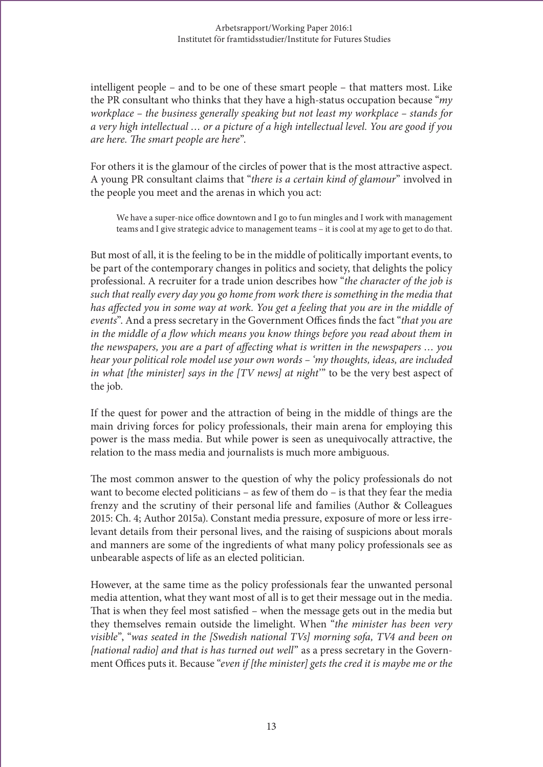intelligent people – and to be one of these smart people – that matters most. Like the PR consultant who thinks that they have a high-status occupation because "*my workplace – the business generally speaking but not least my workplace – stands for a very high intellectual … or a picture of a high intellectual level. You are good if you are here. The smart people are here*".

For others it is the glamour of the circles of power that is the most attractive aspect. A young PR consultant claims that "*there is a certain kind of glamour*" involved in the people you meet and the arenas in which you act:

We have a super-nice office downtown and I go to fun mingles and I work with management teams and I give strategic advice to management teams – it is cool at my age to get to do that.

But most of all, it is the feeling to be in the middle of politically important events, to be part of the contemporary changes in politics and society, that delights the policy professional. A recruiter for a trade union describes how "*the character of the job is such that really every day you go home from work there is something in the media that has affected you in some way at work. You get a feeling that you are in the middle of events*". And a press secretary in the Government Offices finds the fact "*that you are*  in the middle of a flow which means you know things before you read about them in *the newspapers, you are a part of affecting what is written in the newspapers … you hear your political role model use your own words – 'my thoughts, ideas, are included in what [the minister] says in the [TV news] at night*'" to be the very best aspect of the job.

If the quest for power and the attraction of being in the middle of things are the main driving forces for policy professionals, their main arena for employing this power is the mass media. But while power is seen as unequivocally attractive, the relation to the mass media and journalists is much more ambiguous.

The most common answer to the question of why the policy professionals do not want to become elected politicians – as few of them do – is that they fear the media frenzy and the scrutiny of their personal life and families (Author & Colleagues 2015: Ch. 4; Author 2015a). Constant media pressure, exposure of more or less irrelevant details from their personal lives, and the raising of suspicions about morals and manners are some of the ingredients of what many policy professionals see as unbearable aspects of life as an elected politician.

However, at the same time as the policy professionals fear the unwanted personal media attention, what they want most of all is to get their message out in the media. That is when they feel most satisfied – when the message gets out in the media but they themselves remain outside the limelight. When "*the minister has been very visible*", "*was seated in the [Swedish national TVs] morning sofa, TV4 and been on [national radio] and that is has turned out well*" as a press secretary in the Government Offices puts it. Because "*even if [the minister] gets the cred it is maybe me or the*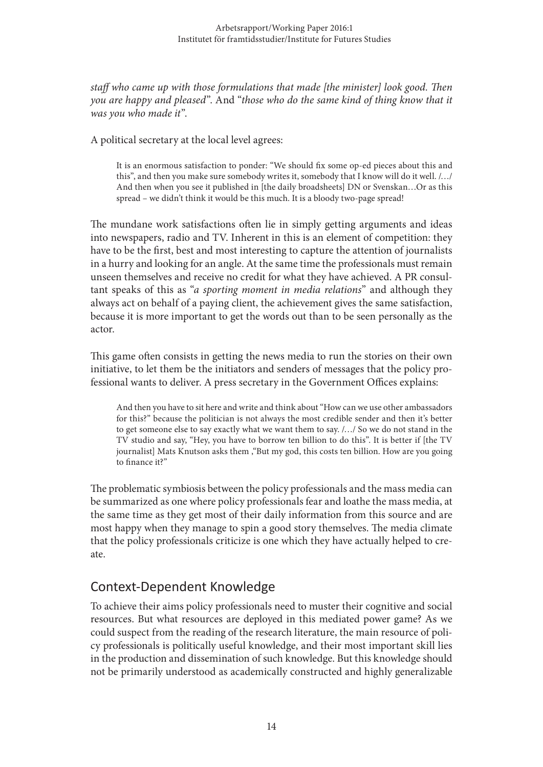*staff who came up with those formulations that made [the minister] look good. Then you are happy and pleased*". And "*those who do the same kind of thing know that it was you who made it*".

A political secretary at the local level agrees:

It is an enormous satisfaction to ponder: "We should fix some op-ed pieces about this and this", and then you make sure somebody writes it, somebody that I know will do it well. /…/ And then when you see it published in [the daily broadsheets] DN or Svenskan…Or as this spread – we didn't think it would be this much. It is a bloody two-page spread!

The mundane work satisfactions often lie in simply getting arguments and ideas into newspapers, radio and TV. Inherent in this is an element of competition: they have to be the first, best and most interesting to capture the attention of journalists in a hurry and looking for an angle. At the same time the professionals must remain unseen themselves and receive no credit for what they have achieved. A PR consultant speaks of this as "*a sporting moment in media relations*" and although they always act on behalf of a paying client, the achievement gives the same satisfaction, because it is more important to get the words out than to be seen personally as the actor.

This game often consists in getting the news media to run the stories on their own initiative, to let them be the initiators and senders of messages that the policy professional wants to deliver. A press secretary in the Government Offices explains:

And then you have to sit here and write and think about "How can we use other ambassadors for this?" because the politician is not always the most credible sender and then it's better to get someone else to say exactly what we want them to say. /…/ So we do not stand in the TV studio and say, "Hey, you have to borrow ten billion to do this". It is better if [the TV journalist] Mats Knutson asks them , "But my god, this costs ten billion. How are you going to finance it?"

The problematic symbiosis between the policy professionals and the mass media can be summarized as one where policy professionals fear and loathe the mass media, at the same time as they get most of their daily information from this source and are most happy when they manage to spin a good story themselves. The media climate that the policy professionals criticize is one which they have actually helped to create.

# Context-Dependent Knowledge

To achieve their aims policy professionals need to muster their cognitive and social resources. But what resources are deployed in this mediated power game? As we could suspect from the reading of the research literature, the main resource of policy professionals is politically useful knowledge, and their most important skill lies in the production and dissemination of such knowledge. But this knowledge should not be primarily understood as academically constructed and highly generalizable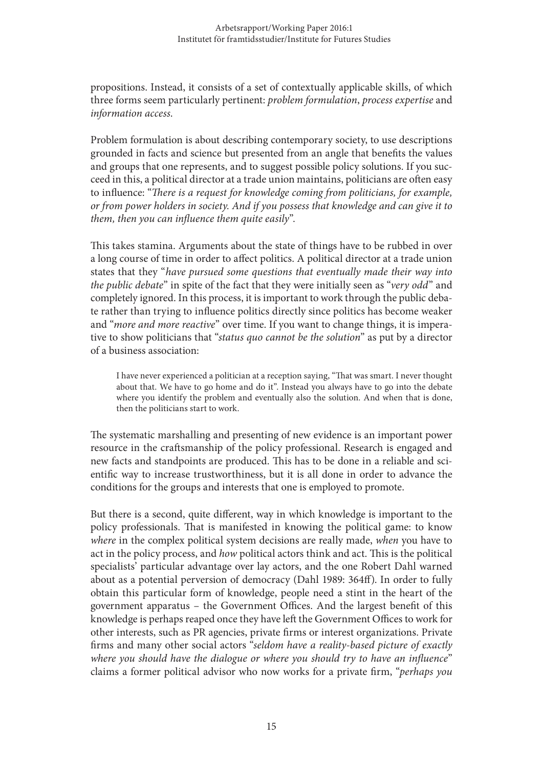<span id="page-14-0"></span>propositions. Instead, it consists of a set of contextually applicable skills, of which three forms seem particularly pertinent: *problem formulation*, *process expertise* and *information access*.

Problem formulation is about describing contemporary society, to use descriptions grounded in facts and science but presented from an angle that benefits the values and groups that one represents, and to suggest possible policy solutions. If you succeed in this, a political director at a trade union maintains, politicians are often easy to influence: "*There is a request for knowledge coming from politicians, for example, or from power holders in society. And if you possess that knowledge and can give it to them, then you can influence them quite easily*".

This takes stamina. Arguments about the state of things have to be rubbed in over a long course of time in order to affect politics. A political director at a trade union states that they "*have pursued some questions that eventually made their way into the public debate*" in spite of the fact that they were initially seen as "*very odd*" and completely ignored. In this process, it is important to work through the public debate rather than trying to influence politics directly since politics has become weaker and "*more and more reactive*" over time. If you want to change things, it is imperative to show politicians that "*status quo cannot be the solution*" as put by a director of a business association:

I have never experienced a politician at a reception saying, "That was smart. I never thought about that. We have to go home and do it". Instead you always have to go into the debate where you identify the problem and eventually also the solution. And when that is done, then the politicians start to work.

The systematic marshalling and presenting of new evidence is an important power resource in the craftsmanship of the policy professional. Research is engaged and new facts and standpoints are produced. This has to be done in a reliable and scientific way to increase trustworthiness, but it is all done in order to advance the conditions for the groups and interests that one is employed to promote.

But there is a second, quite different, way in which knowledge is important to the policy professionals. That is manifested in knowing the political game: to know *where* in the complex political system decisions are really made, *when* you have to act in the policy process, and *how* political actors think and act. This is the political specialists' particular advantage over lay actors, and the one Robert Dahl warned about as a potential perversion of democracy (Dahl 1989: 364ff). In order to fully obtain this particular form of knowledge, people need a stint in the heart of the government apparatus – the Government Offices. And the largest benefit of this knowledge is perhaps reaped once they have left the Government Offices to work for other interests, such as PR agencies, private firms or interest organizations. Private firms and many other social actors "*seldom have a reality-based picture of exactly where you should have the dialogue or where you should try to have an influence*" claims a former political advisor who now works for a private firm, "*perhaps you*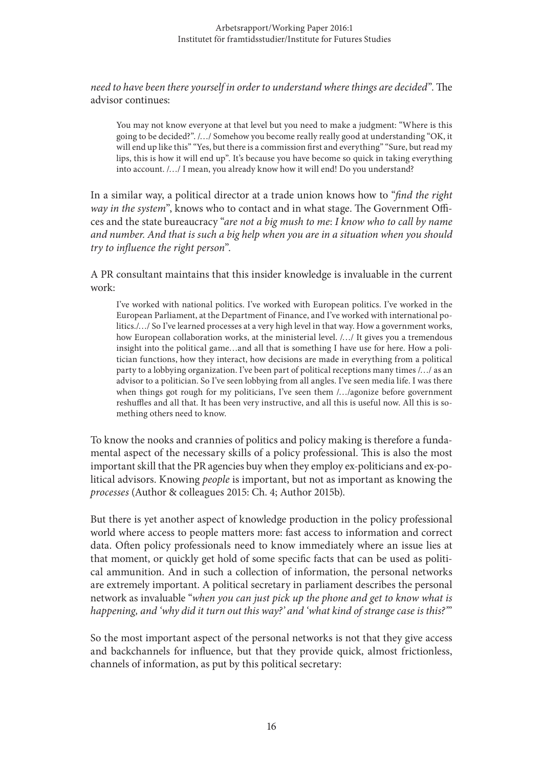#### Arbetsrapport/Working Paper 2016:1 Institutet för framtidsstudier/Institute for Futures Studies

*need to have been there yourself in order to understand where things are decided*". The advisor continues:

You may not know everyone at that level but you need to make a judgment: "Where is this going to be decided?". /…/ Somehow you become really really good at understanding "OK, it will end up like this" "Yes, but there is a commission first and everything" "Sure, but read my lips, this is how it will end up". It's because you have become so quick in taking everything into account. /…/ I mean, you already know how it will end! Do you understand?

In a similar way, a political director at a trade union knows how to "*find the right way in the system*", knows who to contact and in what stage. The Government Offices and the state bureaucracy "*are not a big mush to me*: *I know who to call by name and number. And that is such a big help when you are in a situation when you should try to influence the right person*".

A PR consultant maintains that this insider knowledge is invaluable in the current work:

I've worked with national politics. I've worked with European politics. I've worked in the European Parliament, at the Department of Finance, and I've worked with international politics./…/ So I've learned processes at a very high level in that way. How a government works, how European collaboration works, at the ministerial level. /…/ It gives you a tremendous insight into the political game…and all that is something I have use for here. How a politician functions, how they interact, how decisions are made in everything from a political party to a lobbying organization. I've been part of political receptions many times /…/ as an advisor to a politician. So I've seen lobbying from all angles. I've seen media life. I was there when things got rough for my politicians, I've seen them /…/agonize before government reshuffles and all that. It has been very instructive, and all this is useful now. All this is something others need to know.

To know the nooks and crannies of politics and policy making is therefore a fundamental aspect of the necessary skills of a policy professional. This is also the most important skill that the PR agencies buy when they employ ex-politicians and ex-political advisors. Knowing *people* is important, but not as important as knowing the *processes* (Author & colleagues 2015: Ch. 4; Author 2015b).

But there is yet another aspect of knowledge production in the policy professional world where access to people matters more: fast access to information and correct data. Often policy professionals need to know immediately where an issue lies at that moment, or quickly get hold of some specific facts that can be used as political ammunition. And in such a collection of information, the personal networks are extremely important. A political secretary in parliament describes the personal network as invaluable "*when you can just pick up the phone and get to know what is happening, and 'why did it turn out this way?' and 'what kind of strange case is this?'*"

So the most important aspect of the personal networks is not that they give access and backchannels for influence, but that they provide quick, almost frictionless, channels of information, as put by this political secretary: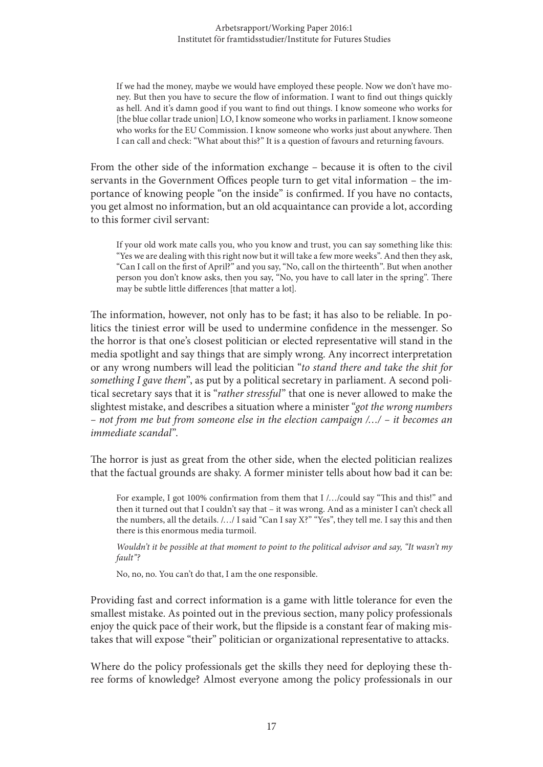If we had the money, maybe we would have employed these people. Now we don't have money. But then you have to secure the flow of information. I want to find out things quickly as hell. And it's damn good if you want to find out things. I know someone who works for [the blue collar trade union] LO, I know someone who works in parliament. I know someone who works for the EU Commission. I know someone who works just about anywhere. Then I can call and check: "What about this?" It is a question of favours and returning favours.

From the other side of the information exchange – because it is often to the civil servants in the Government Offices people turn to get vital information – the importance of knowing people "on the inside" is confirmed. If you have no contacts, you get almost no information, but an old acquaintance can provide a lot, according to this former civil servant:

If your old work mate calls you, who you know and trust, you can say something like this: "Yes we are dealing with this right now but it will take a few more weeks". And then they ask, "Can I call on the first of April?" and you say, "No, call on the thirteenth". But when another person you don't know asks, then you say, "No, you have to call later in the spring". There may be subtle little differences [that matter a lot].

The information, however, not only has to be fast; it has also to be reliable. In politics the tiniest error will be used to undermine confidence in the messenger. So the horror is that one's closest politician or elected representative will stand in the media spotlight and say things that are simply wrong. Any incorrect interpretation or any wrong numbers will lead the politician "*to stand there and take the shit for something I gave them*", as put by a political secretary in parliament. A second political secretary says that it is "*rather stressful*" that one is never allowed to make the slightest mistake, and describes a situation where a minister "*got the wrong numbers – not from me but from someone else in the election campaign /…/ – it becomes an immediate scandal*".

The horror is just as great from the other side, when the elected politician realizes that the factual grounds are shaky. A former minister tells about how bad it can be:

For example, I got 100% confirmation from them that I /…/could say "This and this!" and then it turned out that I couldn't say that – it was wrong. And as a minister I can't check all the numbers, all the details. /…/ I said "Can I say X?" "Yes", they tell me. I say this and then there is this enormous media turmoil.

*Wouldn't it be possible at that moment to point to the political advisor and say, "It wasn't my fault"?*

No, no, no. You can't do that, I am the one responsible.

Providing fast and correct information is a game with little tolerance for even the smallest mistake. As pointed out in the previous section, many policy professionals enjoy the quick pace of their work, but the flipside is a constant fear of making mistakes that will expose "their" politician or organizational representative to attacks.

Where do the policy professionals get the skills they need for deploying these three forms of knowledge? Almost everyone among the policy professionals in our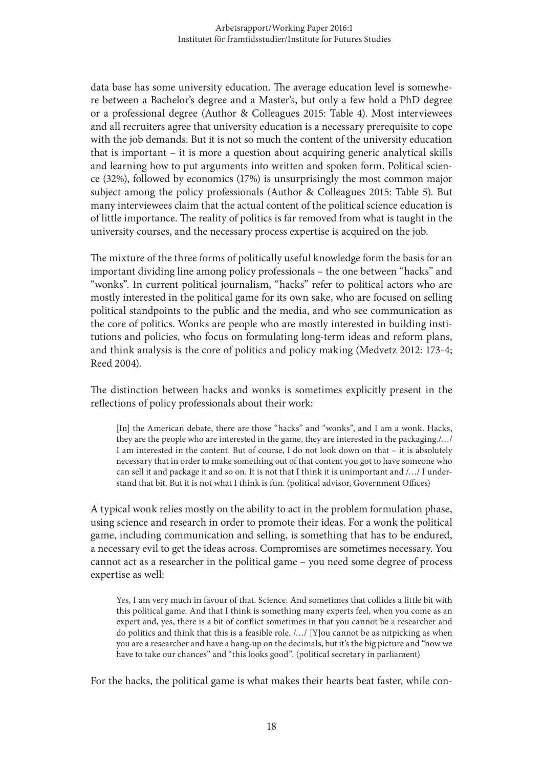data base has some university education. The average education level is somewhere between a Bachelor's degree and a Master's, but only a few hold a PhD degree or a professional degree (Author & Colleagues 2015: Table 4). Most interviewees and all recruiters agree that university education is a necessary prerequisite to cope with the job demands. But it is not so much the content of the university education that is important – it is more a question about acquiring generic analytical skills and learning how to put arguments into written and spoken form. Political science (32%), followed by economics (17%) is unsurprisingly the most common major subject among the policy professionals (Author & Colleagues 2015: Table 5). But many interviewees claim that the actual content of the political science education is of little importance. The reality of politics is far removed from what is taught in the university courses, and the necessary process expertise is acquired on the job.

The mixture of the three forms of politically useful knowledge form the basis for an important dividing line among policy professionals – the one between "hacks" and "wonks". In current political journalism, "hacks" refer to political actors who are mostly interested in the political game for its own sake, who are focused on selling political standpoints to the public and the media, and who see communication as the core of politics. Wonks are people who are mostly interested in building institutions and policies, who focus on formulating long-term ideas and reform plans, and think analysis is the core of politics and policy making (Medvetz 2012: 173-4; Reed 2004).

The distinction between hacks and wonks is sometimes explicitly present in the reflections of policy professionals about their work:

[In] the American debate, there are those "hacks" and "wonks", and I am a wonk. Hacks, they are the people who are interested in the game, they are interested in the packaging./…/ I am interested in the content. But of course, I do not look down on that – it is absolutely necessary that in order to make something out of that content you got to have someone who can sell it and package it and so on. It is not that I think it is unimportant and /…/ I understand that bit. But it is not what I think is fun. (political advisor, Government Offices)

A typical wonk relies mostly on the ability to act in the problem formulation phase, using science and research in order to promote their ideas. For a wonk the political game, including communication and selling, is something that has to be endured, a necessary evil to get the ideas across. Compromises are sometimes necessary. You cannot act as a researcher in the political game – you need some degree of process expertise as well:

Yes, I am very much in favour of that. Science. And sometimes that collides a little bit with this political game. And that I think is something many experts feel, when you come as an expert and, yes, there is a bit of conflict sometimes in that you cannot be a researcher and do politics and think that this is a feasible role. /…/ [Y]ou cannot be as nitpicking as when you are a researcher and have a hang-up on the decimals, but it's the big picture and "now we have to take our chances" and "this looks good". (political secretary in parliament)

For the hacks, the political game is what makes their hearts beat faster, while con-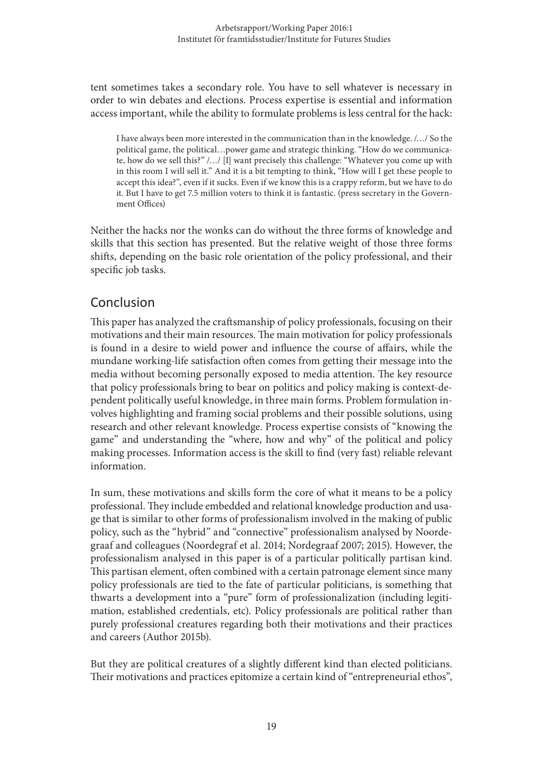<span id="page-18-0"></span>tent sometimes takes a secondary role. You have to sell whatever is necessary in order to win debates and elections. Process expertise is essential and information access important, while the ability to formulate problems is less central for the hack:

I have always been more interested in the communication than in the knowledge. /…/ So the political game, the political…power game and strategic thinking. "How do we communicate, how do we sell this?" /…/ [I] want precisely this challenge: "Whatever you come up with in this room I will sell it." And it is a bit tempting to think, "How will I get these people to accept this idea?", even if it sucks. Even if we know this is a crappy reform, but we have to do it. But I have to get 7.5 million voters to think it is fantastic. (press secretary in the Government Offices)

Neither the hacks nor the wonks can do without the three forms of knowledge and skills that this section has presented. But the relative weight of those three forms shifts, depending on the basic role orientation of the policy professional, and their specific job tasks.

# Conclusion

This paper has analyzed the craftsmanship of policy professionals, focusing on their motivations and their main resources. The main motivation for policy professionals is found in a desire to wield power and influence the course of affairs, while the mundane working-life satisfaction often comes from getting their message into the media without becoming personally exposed to media attention. The key resource that policy professionals bring to bear on politics and policy making is context-dependent politically useful knowledge, in three main forms. Problem formulation involves highlighting and framing social problems and their possible solutions, using research and other relevant knowledge. Process expertise consists of "knowing the game" and understanding the "where, how and why" of the political and policy making processes. Information access is the skill to find (very fast) reliable relevant information.

In sum, these motivations and skills form the core of what it means to be a policy professional. They include embedded and relational knowledge production and usage that is similar to other forms of professionalism involved in the making of public policy, such as the "hybrid" and "connective" professionalism analysed by Noordegraaf and colleagues (Noordegraf et al. 2014; Nordegraaf 2007; 2015). However, the professionalism analysed in this paper is of a particular politically partisan kind. This partisan element, often combined with a certain patronage element since many policy professionals are tied to the fate of particular politicians, is something that thwarts a development into a "pure" form of professionalization (including legitimation, established credentials, etc). Policy professionals are political rather than purely professional creatures regarding both their motivations and their practices and careers (Author 2015b).

But they are political creatures of a slightly different kind than elected politicians. Their motivations and practices epitomize a certain kind of "entrepreneurial ethos",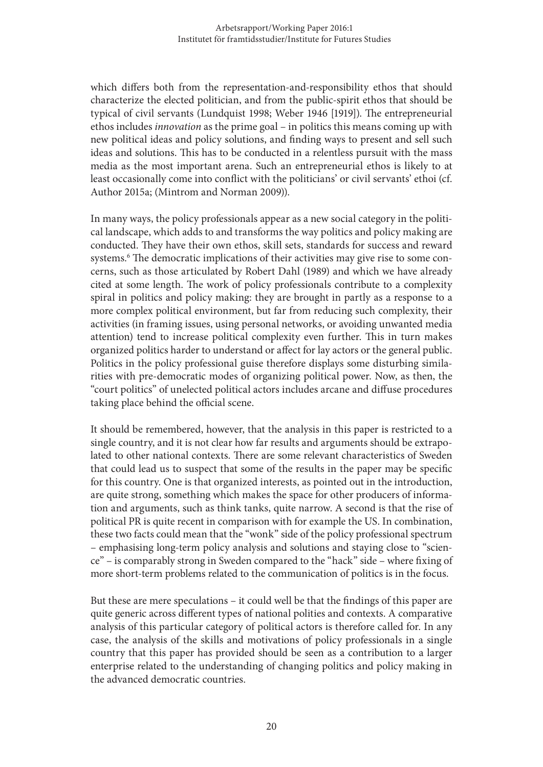which differs both from the representation-and-responsibility ethos that should characterize the elected politician, and from the public-spirit ethos that should be typical of civil servants (Lundquist 1998; Weber 1946 [1919]). The entrepreneurial ethos includes *innovation* as the prime goal – in politics this means coming up with new political ideas and policy solutions, and finding ways to present and sell such ideas and solutions. This has to be conducted in a relentless pursuit with the mass media as the most important arena. Such an entrepreneurial ethos is likely to at least occasionally come into conflict with the politicians' or civil servants' ethoi (cf. Author 2015a; (Mintrom and Norman 2009)).

In many ways, the policy professionals appear as a new social category in the political landscape, which adds to and transforms the way politics and policy making are conducted. They have their own ethos, skill sets, standards for success and reward systems.6 The democratic implications of their activities may give rise to some concerns, such as those articulated by Robert Dahl (1989) and which we have already cited at some length. The work of policy professionals contribute to a complexity spiral in politics and policy making: they are brought in partly as a response to a more complex political environment, but far from reducing such complexity, their activities (in framing issues, using personal networks, or avoiding unwanted media attention) tend to increase political complexity even further. This in turn makes organized politics harder to understand or affect for lay actors or the general public. Politics in the policy professional guise therefore displays some disturbing similarities with pre-democratic modes of organizing political power. Now, as then, the "court politics" of unelected political actors includes arcane and diffuse procedures taking place behind the official scene.

It should be remembered, however, that the analysis in this paper is restricted to a single country, and it is not clear how far results and arguments should be extrapolated to other national contexts. There are some relevant characteristics of Sweden that could lead us to suspect that some of the results in the paper may be specific for this country. One is that organized interests, as pointed out in the introduction, are quite strong, something which makes the space for other producers of information and arguments, such as think tanks, quite narrow. A second is that the rise of political PR is quite recent in comparison with for example the US. In combination, these two facts could mean that the "wonk" side of the policy professional spectrum – emphasising long-term policy analysis and solutions and staying close to "science" – is comparably strong in Sweden compared to the "hack" side – where fixing of more short-term problems related to the communication of politics is in the focus.

But these are mere speculations – it could well be that the findings of this paper are quite generic across different types of national polities and contexts. A comparative analysis of this particular category of political actors is therefore called for. In any case, the analysis of the skills and motivations of policy professionals in a single country that this paper has provided should be seen as a contribution to a larger enterprise related to the understanding of changing politics and policy making in the advanced democratic countries.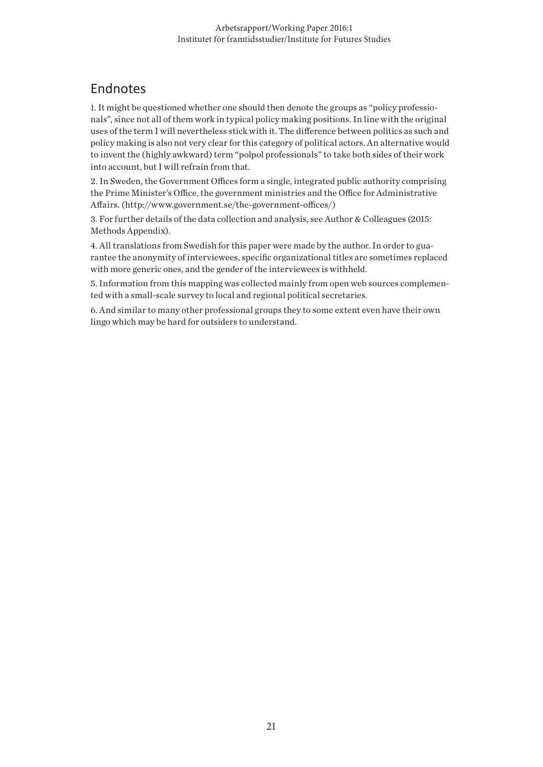# Endnotes

1. It might be questioned whether one should then denote the groups as "policy professionals", since not all of them work in typical policy making positions. In line with the original uses of the term I will nevertheless stick with it. The difference between politics as such and policy making is also not very clear for this category of political actors. An alternative would to invent the (highly awkward) term "polpol professionals" to take both sides of their work into account, but I will refrain from that.

2. In Sweden, the Government Offices form a single, integrated public authority comprising the Prime Minister's Office, the government ministries and the Office for Administrative Affairs. (http://www.government.se/the-government-offices/)

3. For further details of the data collection and analysis, see Author & Colleagues (2015: Methods Appendix).

4. All translations from Swedish for this paper were made by the author. In order to guarantee the anonymity of interviewees, specific organizational titles are sometimes replaced with more generic ones, and the gender of the interviewees is withheld.

5. Information from this mapping was collected mainly from open web sources complemented with a small-scale survey to local and regional political secretaries.

6. And similar to many other professional groups they to some extent even have their own lingo which may be hard for outsiders to understand.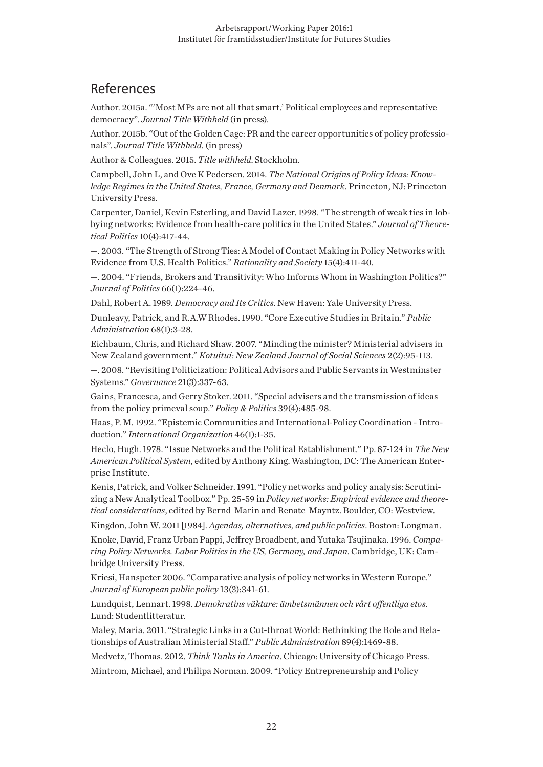# <span id="page-21-0"></span>References

Author. 2015a. "*'*Most MPs are not all that smart.' Political employees and representative democracy". *Journal Title Withheld* (in press).

Author. 2015b. "Out of the Golden Cage: PR and the career opportunities of policy professionals". *Journal Title Withheld*. (in press)

Author & Colleagues. 2015. *Title withheld*. Stockholm.

Campbell, John L, and Ove K Pedersen. 2014. *The National Origins of Policy Ideas: Knowledge Regimes in the United States, France, Germany and Denmark*. Princeton, NJ: Princeton University Press.

Carpenter, Daniel, Kevin Esterling, and David Lazer. 1998. "The strength of weak ties in lobbying networks: Evidence from health-care politics in the United States." *Journal of Theoretical Politics* 10(4):417-44.

—. 2003. "The Strength of Strong Ties: A Model of Contact Making in Policy Networks with Evidence from U.S. Health Politics." *Rationality and Society* 15(4):411-40.

—. 2004. "Friends, Brokers and Transitivity: Who Informs Whom in Washington Politics?" *Journal of Politics* 66(1):224-46.

Dahl, Robert A. 1989. *Democracy and Its Critics*. New Haven: Yale University Press.

Dunleavy, Patrick, and R.A.W Rhodes. 1990. "Core Executive Studies in Britain." *Public Administration* 68(1):3-28.

Eichbaum, Chris, and Richard Shaw. 2007. "Minding the minister? Ministerial advisers in New Zealand government." *Kotuitui: New Zealand Journal of Social Sciences* 2(2):95-113.

—. 2008. "Revisiting Politicization: Political Advisors and Public Servants in Westminster Systems." *Governance* 21(3):337-63.

Gains, Francesca, and Gerry Stoker. 2011. "Special advisers and the transmission of ideas from the policy primeval soup." *Policy & Politics* 39(4):485-98.

Haas, P. M. 1992. "Epistemic Communities and International-Policy Coordination - Introduction." *International Organization* 46(1):1-35.

Heclo, Hugh. 1978. "Issue Networks and the Political Establishment." Pp. 87-124 in *The New American Political System*, edited by Anthony King. Washington, DC: The American Enterprise Institute.

Kenis, Patrick, and Volker Schneider. 1991. "Policy networks and policy analysis: Scrutinizing a New Analytical Toolbox." Pp. 25-59 in *Policy networks: Empirical evidence and theoretical considerations*, edited by Bernd Marin and Renate Mayntz. Boulder, CO: Westview.

Kingdon, John W. 2011 [1984]. *Agendas, alternatives, and public policies*. Boston: Longman.

Knoke, David, Franz Urban Pappi, Jeffrey Broadbent, and Yutaka Tsujinaka. 1996. *Comparing Policy Networks. Labor Politics in the US, Germany, and Japan*. Cambridge, UK: Cambridge University Press.

Kriesi, Hanspeter 2006. "Comparative analysis of policy networks in Western Europe." *Journal of European public policy* 13(3):341-61.

Lundquist, Lennart. 1998. *Demokratins väktare: ämbetsmännen och vårt offentliga etos*. Lund: Studentlitteratur.

Maley, Maria. 2011. "Strategic Links in a Cut-throat World: Rethinking the Role and Relationships of Australian Ministerial Staff." *Public Administration* 89(4):1469-88.

Medvetz, Thomas. 2012. *Think Tanks in America*. Chicago: University of Chicago Press.

Mintrom, Michael, and Philipa Norman. 2009. "Policy Entrepreneurship and Policy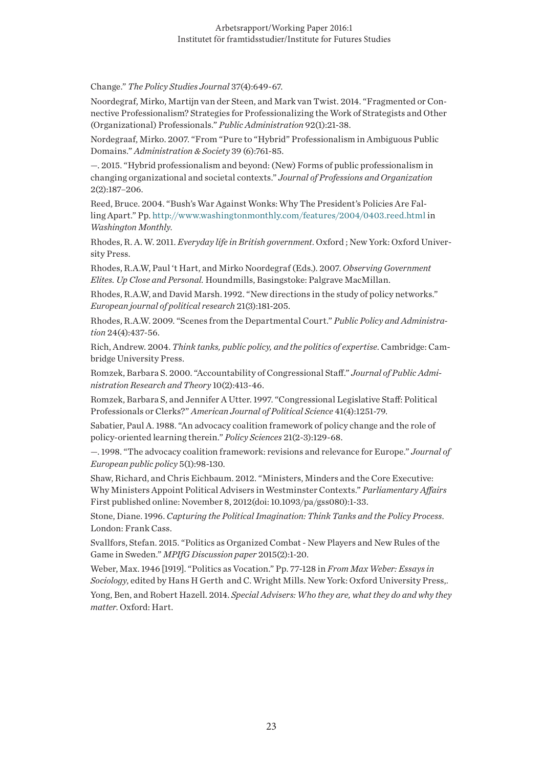<span id="page-22-0"></span>Change." *The Policy Studies Journal* 37(4):649-67.

Noordegraf, Mirko, Martijn van der Steen, and Mark van Twist. 2014. "Fragmented or Connective Professionalism? Strategies for Professionalizing the Work of Strategists and Other (Organizational) Professionals." *Public Administration* 92(1):21-38.

Nordegraaf, Mirko. 2007. "From "Pure to "Hybrid" Professionalism in Ambiguous Public Domains." *Administration & Society* 39 (6):761-85.

—. 2015. "Hybrid professionalism and beyond: (New) Forms of public professionalism in changing organizational and societal contexts." *Journal of Professions and Organization* 2(2):187–206.

Reed, Bruce. 2004. "Bush's War Against Wonks: Why The President's Policies Are Falling Apart." Pp.<http://www.washingtonmonthly.com/features/2004/0403.reed.html>in *Washington Monthly*.

Rhodes, R. A. W. 2011. *Everyday life in British government*. Oxford ; New York: Oxford University Press.

Rhodes, R.A.W, Paul 't Hart, and Mirko Noordegraf (Eds.). 2007. *Observing Government Elites. Up Close and Personal.* Houndmills, Basingstoke: Palgrave MacMillan.

Rhodes, R.A.W, and David Marsh. 1992. "New directions in the study of policy networks." *European journal of political research* 21(3):181-205.

Rhodes, R.A.W. 2009. "Scenes from the Departmental Court." *Public Policy and Administration* 24(4):437-56.

Rich, Andrew. 2004. *Think tanks, public policy, and the politics of expertise*. Cambridge: Cambridge University Press.

Romzek, Barbara S. 2000. "Accountability of Congressional Staff." *Journal of Public Administration Research and Theory* 10(2):413-46.

Romzek, Barbara S, and Jennifer A Utter. 1997. "Congressional Legislative Staff: Political Professionals or Clerks?" *American Journal of Political Science* 41(4):1251-79.

Sabatier, Paul A. 1988. "An advocacy coalition framework of policy change and the role of policy-oriented learning therein." *Policy Sciences* 21(2-3):129-68.

—. 1998. "The advocacy coalition framework: revisions and relevance for Europe." *Journal of European public policy* 5(1):98-130.

Shaw, Richard, and Chris Eichbaum. 2012. "Ministers, Minders and the Core Executive: Why Ministers Appoint Political Advisers in Westminster Contexts." *Parliamentary Affairs* First published online: November 8, 2012(doi: 10.1093/pa/gss080):1-33.

Stone, Diane. 1996. *Capturing the Political Imagination: Think Tanks and the Policy Process*. London: Frank Cass.

Svallfors, Stefan. 2015. "Politics as Organized Combat - New Players and New Rules of the Game in Sweden." *MPIfG Discussion paper* 2015(2):1-20.

Weber, Max. 1946 [1919]. "Politics as Vocation." Pp. 77-128 in *From Max Weber: Essays in Sociology*, edited by Hans H Gerth and C. Wright Mills. New York: Oxford University Press,.

Yong, Ben, and Robert Hazell. 2014. *Special Advisers: Who they are, what they do and why they matter*. Oxford: Hart.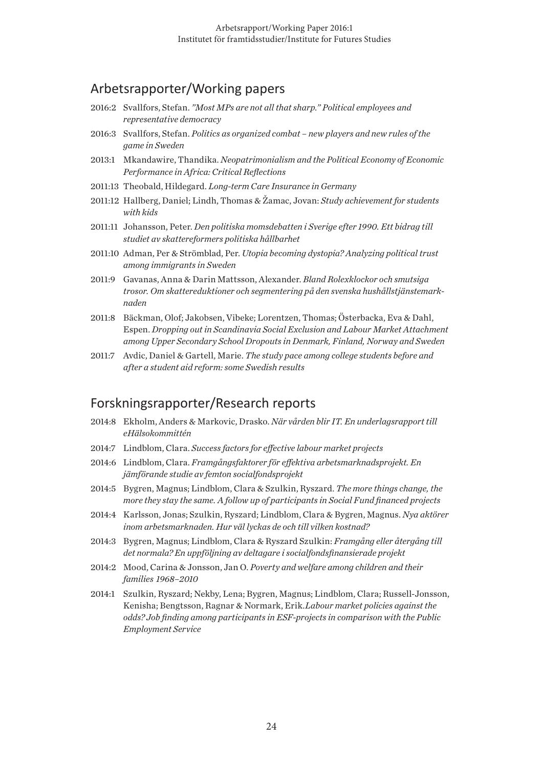### Arbetsrapporter/Working papers

- 2016:2 Svallfors, Stefan. *"Most MPs are not all that sharp." Political employees and representative democracy*
- 2016:3 Svallfors, Stefan. *Politics as organized combat new players and new rules of the game in Sweden*
- 2013:1 Mkandawire, Thandika. *Neopatrimonialism and the Political Economy of Economic Performance in Africa: Critical Reflections*
- 2011:13 Theobald, Hildegard. *Long-term Care Insurance in Germany*
- 2011:12 Hallberg, Daniel; Lindh, Thomas & Žamac, Jovan: *Study achievement for students with kids*
- 2011:11 Johansson, Peter. *Den politiska momsdebatten i Sverige efter 1990. Ett bidrag till studiet av skattereformers politiska hållbarhet*
- 2011:10 Adman, Per & Strömblad, Per. *Utopia becoming dystopia? Analyzing political trust among immigrants in Sweden*
- 2011:9 Gavanas, Anna & Darin Mattsson, Alexander. *Bland Rolexklockor och smutsiga trosor. Om skattereduktioner och segmentering på den svenska hushållstjänstemarknaden*
- 2011:8 Bäckman, Olof; Jakobsen, Vibeke; Lorentzen, Thomas; Österbacka, Eva & Dahl, Espen. *Dropping out in Scandinavia Social Exclusion and Labour Market Attachment among Upper Secondary School Dropouts in Denmark, Finland, Norway and Sweden*
- 2011:7 Avdic, Daniel & Gartell, Marie. *The study pace among college students before and after a student aid reform: some Swedish results*

# Forskningsrapporter/Research reports

- 2014:8 Ekholm, Anders & Markovic, Drasko. *När vården blir IT. En underlagsrapport till eHälsokommittén*
- 2014:7 Lindblom, Clara. *Success factors for effective labour market projects*
- 2014:6 Lindblom, Clara. *Framgångsfaktorer för effektiva arbetsmarknadsprojekt. En jämförande studie av femton socialfondsprojekt*
- 2014:5 Bygren, Magnus; Lindblom, Clara & Szulkin, Ryszard. *The more things change, the more they stay the same. A follow up of participants in Social Fund financed projects*
- 2014:4 Karlsson, Jonas; Szulkin, Ryszard; Lindblom, Clara & Bygren, Magnus. *Nya aktörer inom arbetsmarknaden. Hur väl lyckas de och till vilken kostnad?*
- 2014:3 Bygren, Magnus; Lindblom, Clara & Ryszard Szulkin: *Framgång eller återgång till det normala? En uppföljning av deltagare i socialfondsfinansierade projekt*
- 2014:2 Mood, Carina & Jonsson, Jan O. *Poverty and welfare among children and their families 1968–2010*
- 2014:1 Szulkin, Ryszard; Nekby, Lena; Bygren, Magnus; Lindblom, Clara; Russell-Jonsson, Kenisha; Bengtsson, Ragnar & Normark, Erik.*Labour market policies against the odds? Job finding among participants in ESF-projects in comparison with the Public Employment Service*